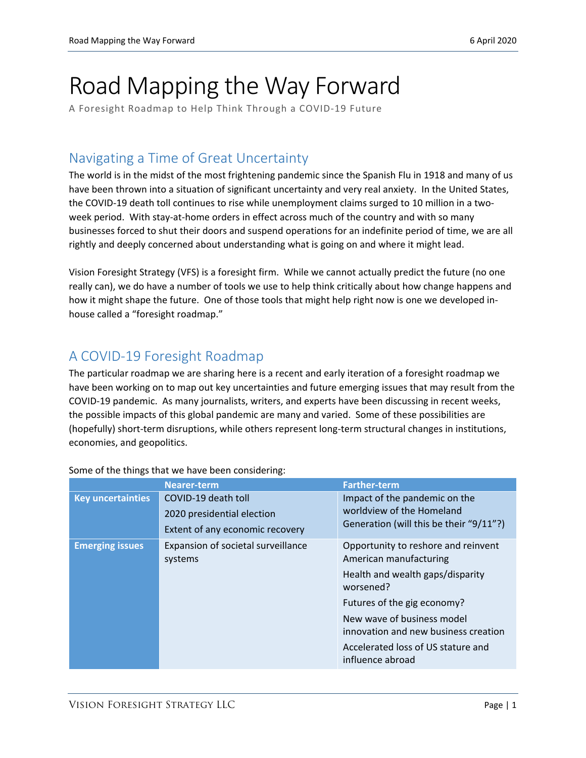# Road Mapping the Way Forward

A Foresight Roadmap to Help Think Through a COVID-19 Future

### Navigating a Time of Great Uncertainty

The world is in the midst of the most frightening pandemic since the Spanish Flu in 1918 and many of us have been thrown into a situation of significant uncertainty and very real anxiety. In the United States, the COVID-19 death toll continues to rise while unemployment claims surged to 10 million in a twoweek period. With stay-at-home orders in effect across much of the country and with so many businesses forced to shut their doors and suspend operations for an indefinite period of time, we are all rightly and deeply concerned about understanding what is going on and where it might lead.

Vision Foresight Strategy (VFS) is a foresight firm. While we cannot actually predict the future (no one really can), we do have a number of tools we use to help think critically about how change happens and how it might shape the future. One of those tools that might help right now is one we developed inhouse called a "foresight roadmap."

## A COVID-19 Foresight Roadmap

The particular roadmap we are sharing here is a recent and early iteration of a foresight roadmap we have been working on to map out key uncertainties and future emerging issues that may result from the COVID-19 pandemic. As many journalists, writers, and experts have been discussing in recent weeks, the possible impacts of this global pandemic are many and varied. Some of these possibilities are (hopefully) short-term disruptions, while others represent long-term structural changes in institutions, economies, and geopolitics.

|                          | <b>Nearer-term</b>                                                                   | <b>Farther-term</b>                                                                                                                                                                                                                                                           |
|--------------------------|--------------------------------------------------------------------------------------|-------------------------------------------------------------------------------------------------------------------------------------------------------------------------------------------------------------------------------------------------------------------------------|
| <b>Key uncertainties</b> | COVID-19 death toll<br>2020 presidential election<br>Extent of any economic recovery | Impact of the pandemic on the<br>worldview of the Homeland<br>Generation (will this be their "9/11"?)                                                                                                                                                                         |
| <b>Emerging issues</b>   | Expansion of societal surveillance<br>systems                                        | Opportunity to reshore and reinvent<br>American manufacturing<br>Health and wealth gaps/disparity<br>worsened?<br>Futures of the gig economy?<br>New wave of business model<br>innovation and new business creation<br>Accelerated loss of US stature and<br>influence abroad |

Some of the things that we have been considering: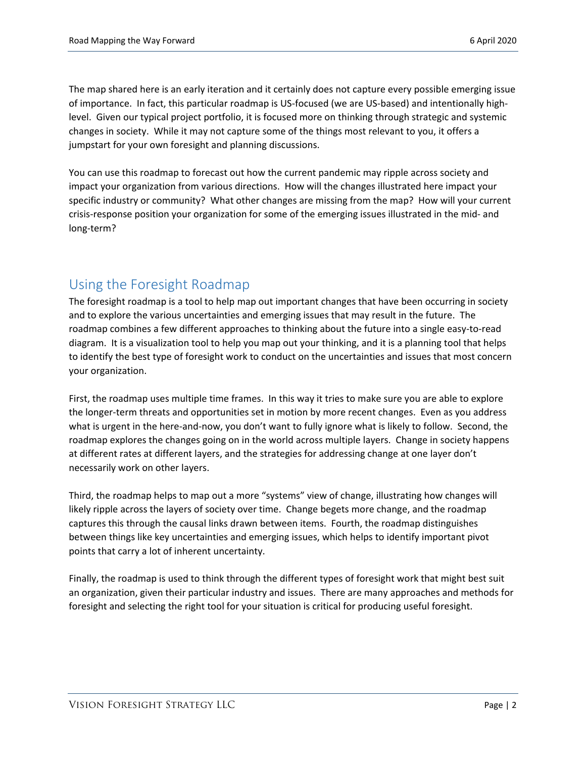The map shared here is an early iteration and it certainly does not capture every possible emerging issue of importance. In fact, this particular roadmap is US-focused (we are US-based) and intentionally highlevel. Given our typical project portfolio, it is focused more on thinking through strategic and systemic changes in society. While it may not capture some of the things most relevant to you, it offers a jumpstart for your own foresight and planning discussions.

You can use this roadmap to forecast out how the current pandemic may ripple across society and impact your organization from various directions. How will the changes illustrated here impact your specific industry or community? What other changes are missing from the map? How will your current crisis-response position your organization for some of the emerging issues illustrated in the mid- and long-term?

#### Using the Foresight Roadmap

The foresight roadmap is a tool to help map out important changes that have been occurring in society and to explore the various uncertainties and emerging issues that may result in the future. The roadmap combines a few different approaches to thinking about the future into a single easy-to-read diagram. It is a visualization tool to help you map out your thinking, and it is a planning tool that helps to identify the best type of foresight work to conduct on the uncertainties and issues that most concern your organization.

First, the roadmap uses multiple time frames. In this way it tries to make sure you are able to explore the longer-term threats and opportunities set in motion by more recent changes. Even as you address what is urgent in the here-and-now, you don't want to fully ignore what is likely to follow. Second, the roadmap explores the changes going on in the world across multiple layers. Change in society happens at different rates at different layers, and the strategies for addressing change at one layer don't necessarily work on other layers.

Third, the roadmap helps to map out a more "systems" view of change, illustrating how changes will likely ripple across the layers of society over time. Change begets more change, and the roadmap captures this through the causal links drawn between items. Fourth, the roadmap distinguishes between things like key uncertainties and emerging issues, which helps to identify important pivot points that carry a lot of inherent uncertainty.

Finally, the roadmap is used to think through the different types of foresight work that might best suit an organization, given their particular industry and issues. There are many approaches and methods for foresight and selecting the right tool for your situation is critical for producing useful foresight.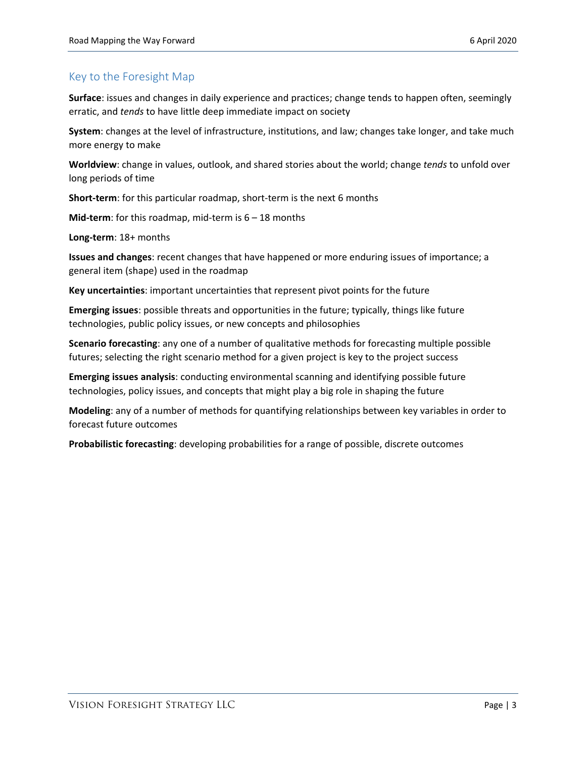#### Key to the Foresight Map

**Surface**: issues and changes in daily experience and practices; change tends to happen often, seemingly erratic, and *tends* to have little deep immediate impact on society

**System**: changes at the level of infrastructure, institutions, and law; changes take longer, and take much more energy to make

**Worldview**: change in values, outlook, and shared stories about the world; change *tends* to unfold over long periods of time

**Short-term**: for this particular roadmap, short-term is the next 6 months

**Mid-term**: for this roadmap, mid-term is 6 – 18 months

**Long-term**: 18+ months

**Issues and changes**: recent changes that have happened or more enduring issues of importance; a general item (shape) used in the roadmap

**Key uncertainties**: important uncertainties that represent pivot points for the future

**Emerging issues**: possible threats and opportunities in the future; typically, things like future technologies, public policy issues, or new concepts and philosophies

**Scenario forecasting**: any one of a number of qualitative methods for forecasting multiple possible futures; selecting the right scenario method for a given project is key to the project success

**Emerging issues analysis**: conducting environmental scanning and identifying possible future technologies, policy issues, and concepts that might play a big role in shaping the future

**Modeling**: any of a number of methods for quantifying relationships between key variables in order to forecast future outcomes

**Probabilistic forecasting**: developing probabilities for a range of possible, discrete outcomes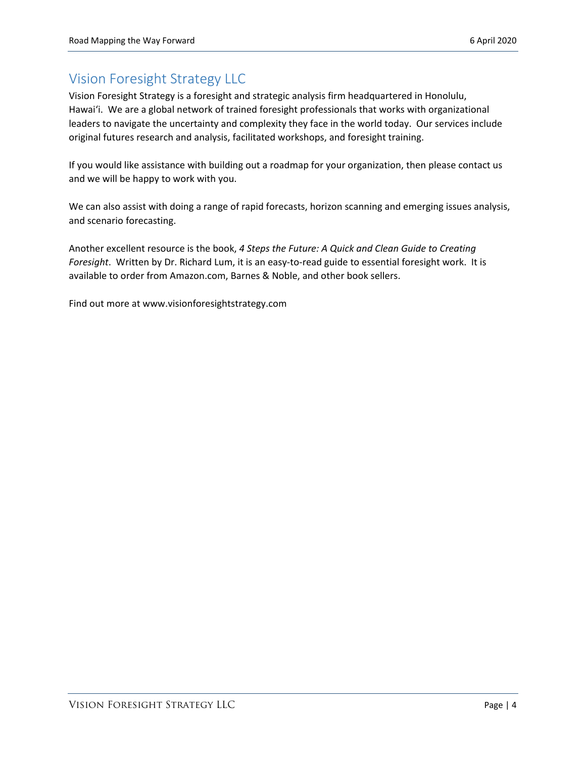## Vision Foresight Strategy LLC

Vision Foresight Strategy is a foresight and strategic analysis firm headquartered in Honolulu, Hawai'i. We are a global network of trained foresight professionals that works with organizational leaders to navigate the uncertainty and complexity they face in the world today. Our services include original futures research and analysis, facilitated workshops, and foresight training.

If you would like assistance with building out a roadmap for your organization, then please contact us and we will be happy to work with you.

We can also assist with doing a range of rapid forecasts, horizon scanning and emerging issues analysis, and scenario forecasting.

Another excellent resource is the book, *4 Steps the Future: A Quick and Clean Guide to Creating Foresight*. Written by Dr. Richard Lum, it is an easy-to-read guide to essential foresight work. It is available to order from Amazon.com, Barnes & Noble, and other book sellers.

Find out more at www.visionforesightstrategy.com